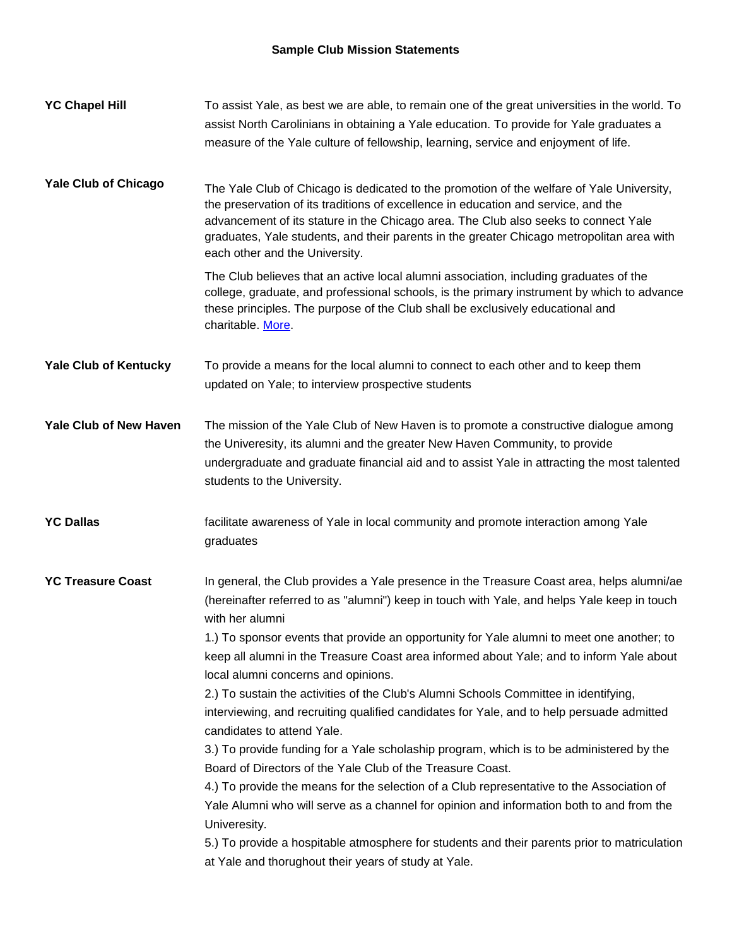| <b>YC Chapel Hill</b>         | To assist Yale, as best we are able, to remain one of the great universities in the world. To<br>assist North Carolinians in obtaining a Yale education. To provide for Yale graduates a<br>measure of the Yale culture of fellowship, learning, service and enjoyment of life.                                                                                                                       |
|-------------------------------|-------------------------------------------------------------------------------------------------------------------------------------------------------------------------------------------------------------------------------------------------------------------------------------------------------------------------------------------------------------------------------------------------------|
| <b>Yale Club of Chicago</b>   | The Yale Club of Chicago is dedicated to the promotion of the welfare of Yale University,<br>the preservation of its traditions of excellence in education and service, and the<br>advancement of its stature in the Chicago area. The Club also seeks to connect Yale<br>graduates, Yale students, and their parents in the greater Chicago metropolitan area with<br>each other and the University. |
|                               | The Club believes that an active local alumni association, including graduates of the<br>college, graduate, and professional schools, is the primary instrument by which to advance<br>these principles. The purpose of the Club shall be exclusively educational and<br>charitable. More                                                                                                             |
| <b>Yale Club of Kentucky</b>  | To provide a means for the local alumni to connect to each other and to keep them<br>updated on Yale; to interview prospective students                                                                                                                                                                                                                                                               |
| <b>Yale Club of New Haven</b> | The mission of the Yale Club of New Haven is to promote a constructive dialogue among<br>the Univeresity, its alumni and the greater New Haven Community, to provide<br>undergraduate and graduate financial aid and to assist Yale in attracting the most talented<br>students to the University.                                                                                                    |
| <b>YC Dallas</b>              | facilitate awareness of Yale in local community and promote interaction among Yale<br>graduates                                                                                                                                                                                                                                                                                                       |
| <b>YC Treasure Coast</b>      | In general, the Club provides a Yale presence in the Treasure Coast area, helps alumni/ae<br>(hereinafter referred to as "alumni") keep in touch with Yale, and helps Yale keep in touch<br>with her alumni                                                                                                                                                                                           |
|                               | 1.) To sponsor events that provide an opportunity for Yale alumni to meet one another; to<br>keep all alumni in the Treasure Coast area informed about Yale; and to inform Yale about<br>local alumni concerns and opinions.<br>2.) To sustain the activities of the Club's Alumni Schools Committee in identifying,                                                                                  |
|                               | interviewing, and recruiting qualified candidates for Yale, and to help persuade admitted<br>candidates to attend Yale.                                                                                                                                                                                                                                                                               |
|                               | 3.) To provide funding for a Yale scholaship program, which is to be administered by the<br>Board of Directors of the Yale Club of the Treasure Coast.                                                                                                                                                                                                                                                |
|                               | 4.) To provide the means for the selection of a Club representative to the Association of<br>Yale Alumni who will serve as a channel for opinion and information both to and from the<br>Univeresity.                                                                                                                                                                                                 |
|                               | 5.) To provide a hospitable atmosphere for students and their parents prior to matriculation<br>at Yale and thorughout their years of study at Yale.                                                                                                                                                                                                                                                  |